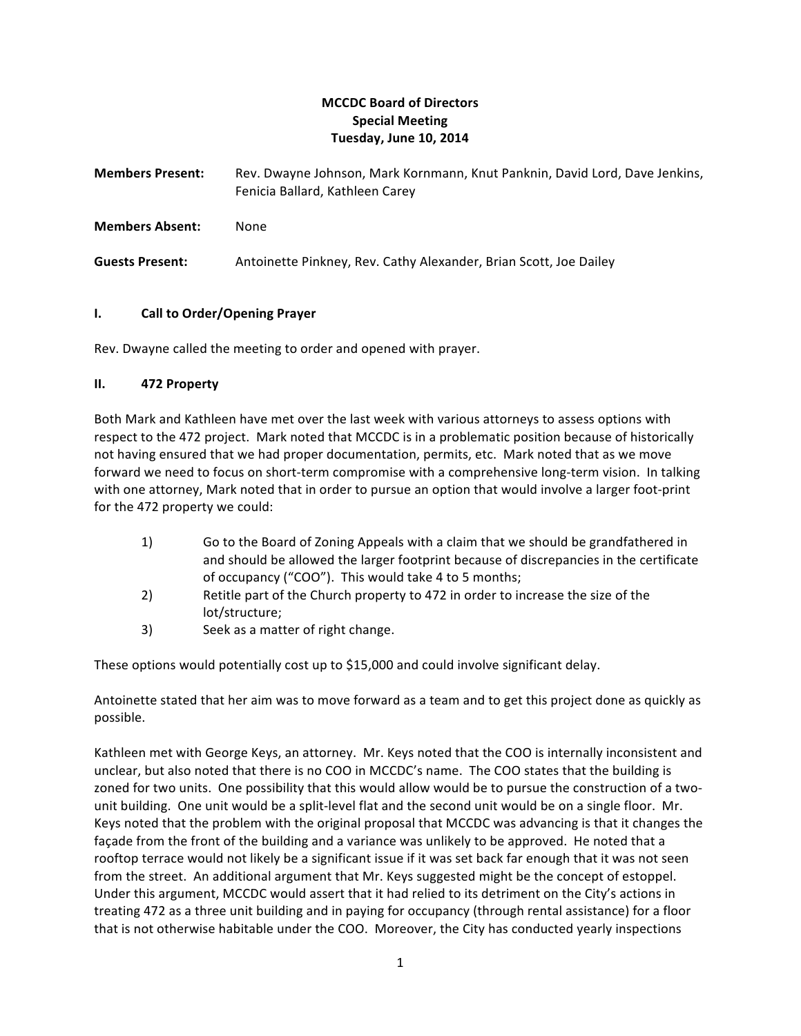# **MCCDC Board of Directors Special Meeting Tuesday, June 10, 2014**

Members Present: Rev. Dwayne Johnson, Mark Kornmann, Knut Panknin, David Lord, Dave Jenkins, Fenicia Ballard, Kathleen Carey

**Members Absent:** None

**Guests Present:** Antoinette Pinkney, Rev. Cathy Alexander, Brian Scott, Joe Dailey

## **I.** Call to Order/Opening Prayer

Rev. Dwayne called the meeting to order and opened with prayer.

## **II. 472 Property**

Both Mark and Kathleen have met over the last week with various attorneys to assess options with respect to the 472 project. Mark noted that MCCDC is in a problematic position because of historically not having ensured that we had proper documentation, permits, etc. Mark noted that as we move forward we need to focus on short-term compromise with a comprehensive long-term vision. In talking with one attorney, Mark noted that in order to pursue an option that would involve a larger foot-print for the 472 property we could:

- 1) Go to the Board of Zoning Appeals with a claim that we should be grandfathered in and should be allowed the larger footprint because of discrepancies in the certificate of occupancy ("COO"). This would take 4 to 5 months;
- 2) Retitle part of the Church property to 472 in order to increase the size of the lot/structure;
- 3) Seek as a matter of right change.

These options would potentially cost up to \$15,000 and could involve significant delay.

Antoinette stated that her aim was to move forward as a team and to get this project done as quickly as possible. 

Kathleen met with George Keys, an attorney. Mr. Keys noted that the COO is internally inconsistent and unclear, but also noted that there is no COO in MCCDC's name. The COO states that the building is zoned for two units. One possibility that this would allow would be to pursue the construction of a twounit building. One unit would be a split-level flat and the second unit would be on a single floor. Mr. Keys noted that the problem with the original proposal that MCCDC was advancing is that it changes the façade from the front of the building and a variance was unlikely to be approved. He noted that a rooftop terrace would not likely be a significant issue if it was set back far enough that it was not seen from the street. An additional argument that Mr. Keys suggested might be the concept of estoppel. Under this argument, MCCDC would assert that it had relied to its detriment on the City's actions in treating 472 as a three unit building and in paying for occupancy (through rental assistance) for a floor that is not otherwise habitable under the COO. Moreover, the City has conducted yearly inspections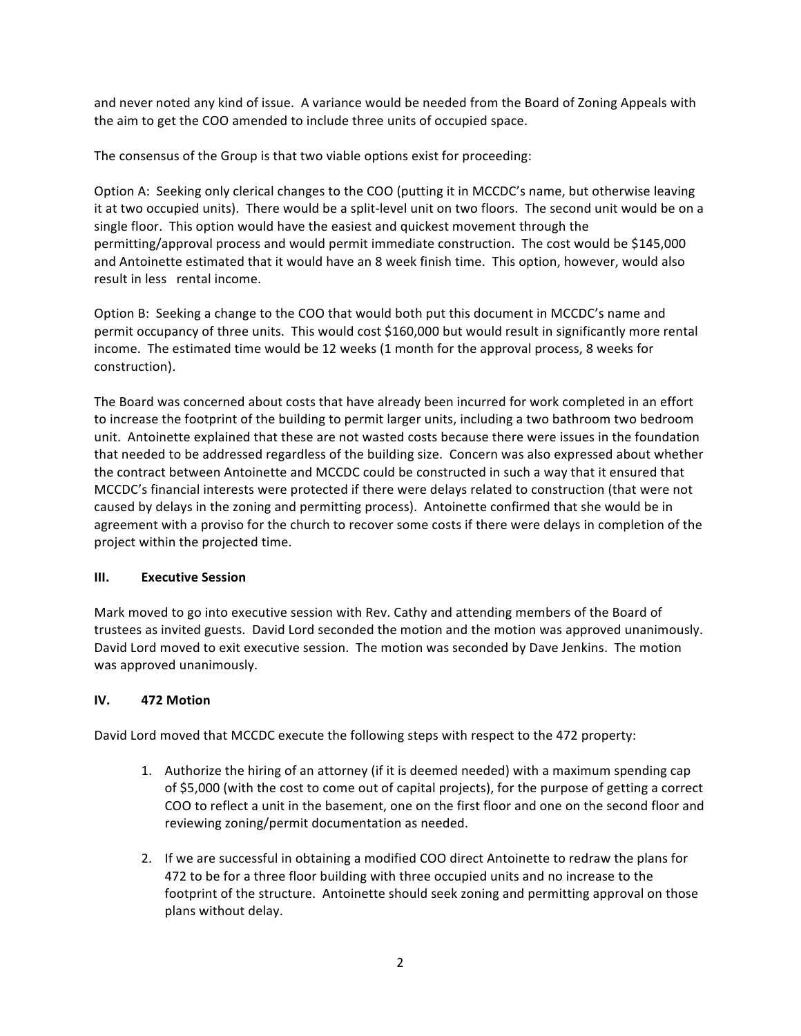and never noted any kind of issue. A variance would be needed from the Board of Zoning Appeals with the aim to get the COO amended to include three units of occupied space.

The consensus of the Group is that two viable options exist for proceeding:

Option A: Seeking only clerical changes to the COO (putting it in MCCDC's name, but otherwise leaving it at two occupied units). There would be a split-level unit on two floors. The second unit would be on a single floor. This option would have the easiest and quickest movement through the permitting/approval process and would permit immediate construction. The cost would be \$145,000 and Antoinette estimated that it would have an 8 week finish time. This option, however, would also result in less rental income.

Option B: Seeking a change to the COO that would both put this document in MCCDC's name and permit occupancy of three units. This would cost \$160,000 but would result in significantly more rental income. The estimated time would be 12 weeks (1 month for the approval process, 8 weeks for construction).

The Board was concerned about costs that have already been incurred for work completed in an effort to increase the footprint of the building to permit larger units, including a two bathroom two bedroom unit. Antoinette explained that these are not wasted costs because there were issues in the foundation that needed to be addressed regardless of the building size. Concern was also expressed about whether the contract between Antoinette and MCCDC could be constructed in such a way that it ensured that MCCDC's financial interests were protected if there were delays related to construction (that were not caused by delays in the zoning and permitting process). Antoinette confirmed that she would be in agreement with a proviso for the church to recover some costs if there were delays in completion of the project within the projected time.

### **III. Executive Session**

Mark moved to go into executive session with Rev. Cathy and attending members of the Board of trustees as invited guests. David Lord seconded the motion and the motion was approved unanimously. David Lord moved to exit executive session. The motion was seconded by Dave Jenkins. The motion was approved unanimously.

### **IV. 472 Motion**

David Lord moved that MCCDC execute the following steps with respect to the 472 property:

- 1. Authorize the hiring of an attorney (if it is deemed needed) with a maximum spending cap of \$5,000 (with the cost to come out of capital projects), for the purpose of getting a correct COO to reflect a unit in the basement, one on the first floor and one on the second floor and reviewing zoning/permit documentation as needed.
- 2. If we are successful in obtaining a modified COO direct Antoinette to redraw the plans for 472 to be for a three floor building with three occupied units and no increase to the footprint of the structure. Antoinette should seek zoning and permitting approval on those plans without delay.